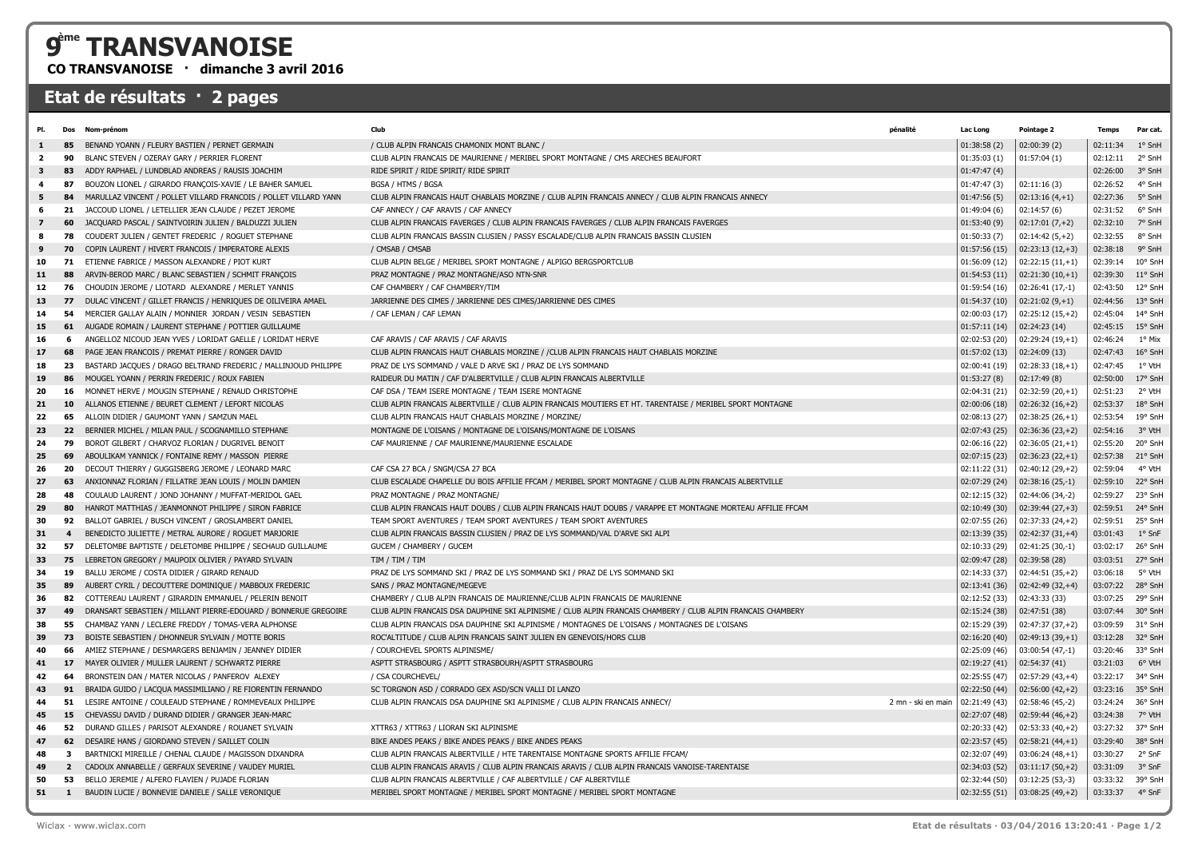## **ème TRANSVANOISE**

**CO TRANSVANOISE · dimanche 3 avril 2016**

## **Etat de résultats · 2 pages**

| 1° SnH<br>BENAND YOANN / FLEURY BASTIEN / PERNET GERMAIN<br>/ CLUB ALPIN FRANCAIS CHAMONIX MONT BLANC /<br>01:38:58(2)<br>02:00:39(2)<br>02:11:34<br>85<br>1<br>2° SnH<br>90<br>BLANC STEVEN / OZERAY GARY / PERRIER FLORENT<br>CLUB ALPIN FRANCAIS DE MAURIENNE / MERIBEL SPORT MONTAGNE / CMS ARECHES BEAUFORT<br>01:35:03(1)<br>01:57:04(1)<br>02:12:11<br>$\overline{2}$<br>RIDE SPIRIT / RIDE SPIRIT/ RIDE SPIRIT<br>02:26:00<br>3° SnH<br>3<br>83<br>ADDY RAPHAEL / LUNDBLAD ANDREAS / RAUSIS JOACHIM<br>01:47:47(4)<br>4° SnH<br>87<br>BOUZON LIONEL / GIRARDO FRANÇOIS-XAVIE / LE BAHER SAMUEL<br>BGSA / HTMS / BGSA<br>01:47:47(3)<br>02:26:52<br>4<br>02:11:16(3)<br>5° SnH<br>5<br>MARULLAZ VINCENT / POLLET VILLARD FRANCOIS / POLLET VILLARD YANN<br>CLUB ALPIN FRANCAIS HAUT CHABLAIS MORZINE / CLUB ALPIN FRANCAIS ANNECY / CLUB ALPIN FRANCAIS ANNECY<br>01:47:56(5)<br>$02:13:16(4,+1)$<br>02:27:36<br>84<br>6° SnH<br>21<br>JACCOUD LIONEL / LETELLIER JEAN CLAUDE / PEZET JEROME<br>CAF ANNECY / CAF ARAVIS / CAF ANNECY<br>01:49:04(6)<br>02:14:57(6)<br>02:31:52<br>6<br>7° SnH<br>60<br>JACQUARD PASCAL / SAINTVOIRIN JULIEN / BALDUZZI JULIEN<br>CLUB ALPIN FRANCAIS FAVERGES / CLUB ALPIN FRANCAIS FAVERGES / CLUB ALPIN FRANCAIS FAVERGES<br>01:53:40(9)<br>02:32:10<br>$\overline{z}$<br>$02:17:01(7,+2)$<br>COUDERT JULIEN / GENTET FREDERIC / ROGUET STEPHANE<br>CLUB ALPIN FRANCAIS BASSIN CLUSIEN / PASSY ESCALADE/CLUB ALPIN FRANCAIS BASSIN CLUSIEN<br>01:50:33(7)<br>$02:14:42(5,+2)$<br>02:32:55<br>8° SnH<br>8<br>78<br>9° SnH<br>9<br>70<br>COPIN LAURENT / HIVERT FRANCOIS / IMPERATORE ALEXIS<br>/ CMSAB / CMSAB<br>01:57:56(15)<br>$02:23:13(12,+3)$<br>02:38:18<br>ETIENNE FABRICE / MASSON ALEXANDRE / PIOT KURT<br>CLUB ALPIN BELGE / MERIBEL SPORT MONTAGNE / ALPIGO BERGSPORTCLUB<br>10° SnH<br>10<br>71<br>01:56:09 (12)<br>$02:22:15(11,+1)$<br>02:39:14<br>PRAZ MONTAGNE / PRAZ MONTAGNE/ASO NTN-SNR<br>01:54:53(11)<br>$11^{\circ}$ SnH<br>11<br>88<br>ARVIN-BEROD MARC / BLANC SEBASTIEN / SCHMIT FRANÇOIS<br>$ 02:21:30(10,+1) $<br>02:39:30<br>12° SnH<br>12<br>76<br>CHOUDIN JEROME / LIOTARD ALEXANDRE / MERLET YANNIS<br>CAF CHAMBERY / CAF CHAMBERY/TIM<br>01:59:54 (16)<br>$02:26:41(17,-1)$<br>02:43:50<br>DULAC VINCENT / GILLET FRANCIS / HENRIQUES DE OILIVEIRA AMAEL<br>JARRIENNE DES CIMES / JARRIENNE DES CIMES/JARRIENNE DES CIMES<br>01:54:37(10)<br>13° SnH<br>13<br>77<br>$02:21:02(9,+1)$<br>02:44:56<br>14° SnH<br>14<br>54<br>MERCIER GALLAY ALAIN / MONNIER JORDAN / VESIN SEBASTIEN<br>/ CAF LEMAN / CAF LEMAN<br>02:00:03 (17)<br>$02:25:12(15,+2)$<br>02:45:04<br>15° SnH<br>15<br>61<br>AUGADE ROMAIN / LAURENT STEPHANE / POTTIER GUILLAUME<br>01:57:11(14)<br>02:24:23(14)<br>02:45:15<br>1° Mix<br>ANGELLOZ NICOUD JEAN YVES / LORIDAT GAELLE / LORIDAT HERVE<br>CAF ARAVIS / CAF ARAVIS / CAF ARAVIS<br>02:02:53 (20)<br>$02:29:24(19,+1)$<br>02:46:24<br>16<br>6<br>16° SnH<br>17<br>PAGE JEAN FRANCOIS / PREMAT PIERRE / RONGER DAVID<br>CLUB ALPIN FRANCAIS HAUT CHABLAIS MORZINE / / CLUB ALPIN FRANCAIS HAUT CHABLAIS MORZINE<br>01:57:02(13)<br>02:24:09 (13)<br>02:47:43<br>68<br>1° VtH<br>18<br>23<br>BASTARD JACQUES / DRAGO BELTRAND FREDERIC / MALLINJOUD PHILIPPE<br>PRAZ DE LYS SOMMAND / VALE D ARVE SKI / PRAZ DE LYS SOMMAND<br>02:00:41 (19)<br>$02:28:33(18,+1)$<br>02:47:45<br>17° SnH<br>19<br>MOUGEL YOANN / PERRIN FREDERIC / ROUX FABIEN<br>RAIDEUR DU MATIN / CAF D'ALBERTVILLE / CLUB ALPIN FRANCAIS ALBERTVILLE<br>01:53:27(8)<br>02:50:00<br>86<br>02:17:49(8)<br>MONNET HERVE / MOUGIN STEPHANE / RENAUD CHRISTOPHE<br>CAF DSA / TEAM ISERE MONTAGNE / TEAM ISERE MONTAGNE<br>02:04:31 (21)<br>$02:32:59(20,+1)$<br>02:51:23<br>2° VtH<br>20<br>16<br>18° SnH<br>21<br>10<br>ALLANOS ETIENNE / BEURET CLEMENT / LEFORT NICOLAS<br>CLUB ALPIN FRANCAIS ALBERTVILLE / CLUB ALPIN FRANCAIS MOUTIERS ET HT. TARENTAISE / MERIBEL SPORT MONTAGNE<br>02:00:06 (18)<br>$02:26:32(16,+2)$<br>02:53:37<br>19° SnH<br>65<br>ALLOIN DIDIER / GAUMONT YANN / SAMZUN MAEL<br>CLUB ALPIN FRANCAIS HAUT CHABLAIS MORZINE / MORZINE/<br>$02:38:25(26,+1)$<br>02:53:54<br>22<br>02:08:13 (27)<br>23<br>22<br>BERNIER MICHEL / MILAN PAUL / SCOGNAMILLO STEPHANE<br>MONTAGNE DE L'OISANS / MONTAGNE DE L'OISANS/MONTAGNE DE L'OISANS<br>02:07:43 (25)<br>$02:36:36(23,+2)$<br>02:54:16<br>3° VtH<br>20° SnH<br>24<br>79<br>BOROT GILBERT / CHARVOZ FLORIAN / DUGRIVEL BENOIT<br>CAF MAURIENNE / CAF MAURIENNE/MAURIENNE ESCALADE<br>02:06:16 (22)<br>$02:36:05(21,+1)$<br>02:55:20<br>ABOULIKAM YANNICK / FONTAINE REMY / MASSON PIERRE<br>02:07:15 (23)<br>$02:36:23(22,+1)$<br>21° SnH<br>25<br>69<br>02:57:38<br>DECOUT THIERRY / GUGGISBERG JEROME / LEONARD MARC<br>4° VtH<br>26<br>20<br>CAF CSA 27 BCA / SNGM/CSA 27 BCA<br>02:11:22 (31)<br>$02:40:12(29,+2)$<br>02:59:04<br>22° SnH<br>27<br>63<br>ANXIONNAZ FLORIAN / FILLATRE JEAN LOUIS / MOLIN DAMIEN<br>CLUB ESCALADE CHAPELLE DU BOIS AFFILIE FFCAM / MERIBEL SPORT MONTAGNE / CLUB ALPIN FRANCAIS ALBERTVILLE<br>02:07:29 (24)<br>$02:38:16(25,-1)$<br>02:59:10<br>02:59:27<br>23° SnH<br>28<br>48<br>COULAUD LAURENT / JOND JOHANNY / MUFFAT-MERIDOL GAEL<br>PRAZ MONTAGNE / PRAZ MONTAGNE/<br>02:12:15 (32)<br>02:44:06 (34,-2)<br>24° SnH<br>29<br>80<br>HANROT MATTHIAS / JEANMONNOT PHILIPPE / SIRON FABRICE<br>CLUB ALPIN FRANCAIS HAUT DOUBS / CLUB ALPIN FRANCAIS HAUT DOUBS / VARAPPE ET MONTAGNE MORTEAU AFFILIE FFCAM<br>02:10:49 (30)<br>$02:39:44(27,+3)$<br>02:59:51<br>30<br>92<br>BALLOT GABRIEL / BUSCH VINCENT / GROSLAMBERT DANIEL<br>TEAM SPORT AVENTURES / TEAM SPORT AVENTURES / TEAM SPORT AVENTURES<br>02:07:55 (26)<br>$02:37:33(24,+2)$<br>02:59:51<br>25° SnH<br>1° SnF<br>31<br>BENEDICTO JULIETTE / METRAL AURORE / ROGUET MARJORIE<br>CLUB ALPIN FRANCAIS BASSIN CLUSIEN / PRAZ DE LYS SOMMAND/VAL D'ARVE SKI ALPI<br>02:13:39 (35)<br>$02:42:37(31,+4)$<br>03:01:43<br>$\overline{\mathbf{4}}$<br>26° SnH<br>32<br>57<br>DELETOMBE BAPTISTE / DELETOMBE PHILIPPE / SECHAUD GUILLAUME<br>GUCEM / CHAMBERY / GUCEM<br>02:10:33 (29)<br>02:41:25 (30,-1)<br>03:02:17<br>33<br>LEBRETON GREGORY / MAUPOIX OLIVIER / PAYARD SYLVAIN<br>27° SnH<br>75<br>TIM / TIM / TIM<br>02:09:47 (28)<br>02:39:58 (28)<br>03:03:51<br>BALLU JEROME / COSTA DIDIER / GIRARD RENAUD<br>5° VtH<br>34<br>19<br>PRAZ DE LYS SOMMAND SKI / PRAZ DE LYS SOMMAND SKI / PRAZ DE LYS SOMMAND SKI<br>$02:44:51(35,+2)$<br>03:06:18<br>02:14:33 (37)<br>28° SnH<br>35<br>AUBERT CYRIL / DECOUTTERE DOMINIQUE / MABBOUX FREDERIC<br>SANS / PRAZ MONTAGNE/MEGEVE<br>02:13:41 (36)<br>$02:42:49(32,+4)$<br>03:07:22<br>89<br>29° SnH<br>36<br>82<br>COTTEREAU LAURENT / GIRARDIN EMMANUEL / PELERIN BENOIT<br>CHAMBERY / CLUB ALPIN FRANCAIS DE MAURIENNE/CLUB ALPIN FRANCAIS DE MAURIENNE<br>02:12:52 (33)<br>02:43:33 (33)<br>03:07:25<br>30° SnH<br>37<br>49<br>DRANSART SEBASTIEN / MILLANT PIERRE-EDOUARD / BONNERUE GREGOIRE<br>CLUB ALPIN FRANCAIS DSA DAUPHINE SKI ALPINISME / CLUB ALPIN FRANCAIS CHAMBERY / CLUB ALPIN FRANCAIS CHAMBERY<br>02:15:24 (38)<br>02:47:51 (38)<br>03:07:44<br>38<br>55<br>CHAMBAZ YANN / LECLERE FREDDY / TOMAS-VERA ALPHONSE<br>CLUB ALPIN FRANCAIS DSA DAUPHINE SKI ALPINISME / MONTAGNES DE L'OISANS / MONTAGNES DE L'OISANS<br>02:15:29 (39)<br>$02:47:37(37,+2)$<br>03:09:59<br>31° SnH<br>32° SnH<br>39<br>73<br>BOISTE SEBASTIEN / DHONNEUR SYLVAIN / MOTTE BORIS<br>ROC'ALTITUDE / CLUB ALPIN FRANCAIS SAINT JULIEN EN GENEVOIS/HORS CLUB<br>02:16:20 (40)<br>$02:49:13(39,+1)$<br>03:12:28<br>33° SnH<br>AMIEZ STEPHANE / DESMARGERS BENJAMIN / JEANNEY DIDIER<br>/ COURCHEVEL SPORTS ALPINISME/<br>02:25:09 (46)<br>$03:00:54(47,-1)$<br>03:20:46<br>40<br>66<br>41<br>MAYER OLIVIER / MULLER LAURENT / SCHWARTZ PIERRE<br>ASPTT STRASBOURG / ASPTT STRASBOURH/ASPTT STRASBOURG<br>02:54:37 (41)<br>03:21:03<br>6° VtH<br>17<br>02:19:27 (41)<br>42<br>64<br>BRONSTEIN DAN / MATER NICOLAS / PANFEROV ALEXEY<br>/ CSA COURCHEVEL/<br>02:25:55 (47)<br>$02:57:29(43,+4)$<br>03:22:17<br>34° SnH<br>43<br>SC TORGNON ASD / CORRADO GEX ASD/SCN VALLI DI LANZO<br>02:22:50 (44)<br>03:23:16<br>35° SnH<br>91<br>BRAIDA GUIDO / LACQUA MASSIMILIANO / RE FIORENTIN FERNANDO<br>$02:56:00(42,+2)$<br>36° SnH<br>44<br>51<br>LESIRE ANTOINE / COULEAUD STEPHANE / ROMMEVEAUX PHILIPPE<br>CLUB ALPIN FRANCAIS DSA DAUPHINE SKI ALPINISME / CLUB ALPIN FRANCAIS ANNECY/<br>2 mn - ski en main<br>02:21:49 (43)<br>02:58:46 (45,-2)<br>03:24:24<br>45<br>CHEVASSU DAVID / DURAND DIDIER / GRANGER JEAN-MARC<br>02:27:07 (48)<br>$02:59:44(46,+2)$<br>03:24:38<br>7° VtH<br>15<br>37° SnH<br>46<br>52<br>DURAND GILLES / PARISOT ALEXANDRE / ROUANET SYLVAIN<br>XTTR63 / XTTR63 / LIORAN SKI ALPINISME<br>02:20:33 (42)<br>$02:53:33(40,+2)$<br>03:27:32<br>38° SnH<br>47<br>62<br>DESAIRE HANS / GIORDANO STEVEN / SAILLET COLIN<br>BIKE ANDES PEAKS / BIKE ANDES PEAKS / BIKE ANDES PEAKS<br>02:23:57 (45)<br>$02:58:21(44,+1)$<br>03:29:40<br>BARTNICKI MIREILLE / CHENAL CLAUDE / MAGISSON DIXANDRA<br>CLUB ALPIN FRANCAIS ALBERTVILLE / HTE TARENTAISE MONTAGNE SPORTS AFFILIE FFCAM/<br>$03:06:24(48,+1)$<br>03:30:27<br>2° SnF<br>48<br>3<br>02:32:07 (49)<br>3° SnF<br>49<br>CADOUX ANNABELLE / GERFAUX SEVERINE / VAUDEY MURIEL<br>CLUB ALPIN FRANCAIS ARAVIS / CLUB ALPIN FRANCAIS ARAVIS / CLUB ALPIN FRANCAIS VANOISE-TARENTAISE<br>02:34:03 (52)<br>$03:11:17(50,+2)$<br>03:31:09<br>$\overline{2}$<br>39° SnH<br>50<br>BELLO JEREMIE / ALFERO FLAVIEN / PUJADE FLORIAN<br>CLUB ALPIN FRANCAIS ALBERTVILLE / CAF ALBERTVILLE / CAF ALBERTVILLE<br>02:32:44 (50)<br>$03:12:25(53,-3)$<br>03:33:32<br>53<br>MERIBEL SPORT MONTAGNE / MERIBEL SPORT MONTAGNE / MERIBEL SPORT MONTAGNE<br>02:32:55(51)<br>$\vert$ 03:08:25 (49,+2)<br>03:33:37<br>4° SnF<br>51<br>$\mathbf{1}$<br>BAUDIN LUCIE / BONNEVIE DANIELE / SALLE VERONIQUE | Dos | Nom-prénon | Club | pénalité | Lac Long | Pointage 2 | <b>Temps</b> | Par cat |
|--------------------------------------------------------------------------------------------------------------------------------------------------------------------------------------------------------------------------------------------------------------------------------------------------------------------------------------------------------------------------------------------------------------------------------------------------------------------------------------------------------------------------------------------------------------------------------------------------------------------------------------------------------------------------------------------------------------------------------------------------------------------------------------------------------------------------------------------------------------------------------------------------------------------------------------------------------------------------------------------------------------------------------------------------------------------------------------------------------------------------------------------------------------------------------------------------------------------------------------------------------------------------------------------------------------------------------------------------------------------------------------------------------------------------------------------------------------------------------------------------------------------------------------------------------------------------------------------------------------------------------------------------------------------------------------------------------------------------------------------------------------------------------------------------------------------------------------------------------------------------------------------------------------------------------------------------------------------------------------------------------------------------------------------------------------------------------------------------------------------------------------------------------------------------------------------------------------------------------------------------------------------------------------------------------------------------------------------------------------------------------------------------------------------------------------------------------------------------------------------------------------------------------------------------------------------------------------------------------------------------------------------------------------------------------------------------------------------------------------------------------------------------------------------------------------------------------------------------------------------------------------------------------------------------------------------------------------------------------------------------------------------------------------------------------------------------------------------------------------------------------------------------------------------------------------------------------------------------------------------------------------------------------------------------------------------------------------------------------------------------------------------------------------------------------------------------------------------------------------------------------------------------------------------------------------------------------------------------------------------------------------------------------------------------------------------------------------------------------------------------------------------------------------------------------------------------------------------------------------------------------------------------------------------------------------------------------------------------------------------------------------------------------------------------------------------------------------------------------------------------------------------------------------------------------------------------------------------------------------------------------------------------------------------------------------------------------------------------------------------------------------------------------------------------------------------------------------------------------------------------------------------------------------------------------------------------------------------------------------------------------------------------------------------------------------------------------------------------------------------------------------------------------------------------------------------------------------------------------------------------------------------------------------------------------------------------------------------------------------------------------------------------------------------------------------------------------------------------------------------------------------------------------------------------------------------------------------------------------------------------------------------------------------------------------------------------------------------------------------------------------------------------------------------------------------------------------------------------------------------------------------------------------------------------------------------------------------------------------------------------------------------------------------------------------------------------------------------------------------------------------------------------------------------------------------------------------------------------------------------------------------------------------------------------------------------------------------------------------------------------------------------------------------------------------------------------------------------------------------------------------------------------------------------------------------------------------------------------------------------------------------------------------------------------------------------------------------------------------------------------------------------------------------------------------------------------------------------------------------------------------------------------------------------------------------------------------------------------------------------------------------------------------------------------------------------------------------------------------------------------------------------------------------------------------------------------------------------------------------------------------------------------------------------------------------------------------------------------------------------------------------------------------------------------------------------------------------------------------------------------------------------------------------------------------------------------------------------------------------------------------------------------------------------------------------------------------------------------------------------------------------------------------------------------------------------------------------------------------------------------------------------------------------------------------------------------------------------------------------------------------------------------------------------------------------------------------------------------------------------------------------------------------------------------------------------------------------------------------------------------------------------------------------------------------------------------------------------------------------------------------------------------------------------------------------------------------------------------------------------------------------------------------------------------------------------------------------------------------------------------------------------------------------------------------------------------------------------------------------------------------------------------------------------------------------------------------------------------------------------------------------------------------------------------------------------------------------------------------------------------------------------------------------------------------------------------------------------------------------------------------------------------------------------------------------------------------------------------------------------------------------------------------------------------------------------------------------------------------------------------------------------------------------------------------------------------------------------------------------------------------------------------------------------------------------------------------------------------------------------------------------------------------------------------------------------------------------------------------------------------------------------------------------------------------------------------------------------------------------------------------------------------------------------------------------------------------------------------------------------------------------------------------------------------------------------------------------------------------------------------------------------------------------------------------------------------------------------------------------------------------------------------------------------------------------------|-----|------------|------|----------|----------|------------|--------------|---------|
|                                                                                                                                                                                                                                                                                                                                                                                                                                                                                                                                                                                                                                                                                                                                                                                                                                                                                                                                                                                                                                                                                                                                                                                                                                                                                                                                                                                                                                                                                                                                                                                                                                                                                                                                                                                                                                                                                                                                                                                                                                                                                                                                                                                                                                                                                                                                                                                                                                                                                                                                                                                                                                                                                                                                                                                                                                                                                                                                                                                                                                                                                                                                                                                                                                                                                                                                                                                                                                                                                                                                                                                                                                                                                                                                                                                                                                                                                                                                                                                                                                                                                                                                                                                                                                                                                                                                                                                                                                                                                                                                                                                                                                                                                                                                                                                                                                                                                                                                                                                                                                                                                                                                                                                                                                                                                                                                                                                                                                                                                                                                                                                                                                                                                                                                                                                                                                                                                                                                                                                                                                                                                                                                                                                                                                                                                                                                                                                                                                                                                                                                                                                                                                                                                                                                                                                                                                                                                                                                                                                                                                                                                                                                                                                                                                                                                                                                                                                                                                                                                                                                                                                                                                                                                                                                                                                                                                                                                                                                                                                                                                                                                                                                                                                                                                                                                                                                                                                                                                                                                                                                                                                                                                                                                                                                                                                                                                                                                                                                                                                                                                                                                                                                                                                                                                                                                                                                                                                                                                                                                                                                                                                                                                                                                                                                                                                                                                                                                                                                            |     |            |      |          |          |            |              |         |
|                                                                                                                                                                                                                                                                                                                                                                                                                                                                                                                                                                                                                                                                                                                                                                                                                                                                                                                                                                                                                                                                                                                                                                                                                                                                                                                                                                                                                                                                                                                                                                                                                                                                                                                                                                                                                                                                                                                                                                                                                                                                                                                                                                                                                                                                                                                                                                                                                                                                                                                                                                                                                                                                                                                                                                                                                                                                                                                                                                                                                                                                                                                                                                                                                                                                                                                                                                                                                                                                                                                                                                                                                                                                                                                                                                                                                                                                                                                                                                                                                                                                                                                                                                                                                                                                                                                                                                                                                                                                                                                                                                                                                                                                                                                                                                                                                                                                                                                                                                                                                                                                                                                                                                                                                                                                                                                                                                                                                                                                                                                                                                                                                                                                                                                                                                                                                                                                                                                                                                                                                                                                                                                                                                                                                                                                                                                                                                                                                                                                                                                                                                                                                                                                                                                                                                                                                                                                                                                                                                                                                                                                                                                                                                                                                                                                                                                                                                                                                                                                                                                                                                                                                                                                                                                                                                                                                                                                                                                                                                                                                                                                                                                                                                                                                                                                                                                                                                                                                                                                                                                                                                                                                                                                                                                                                                                                                                                                                                                                                                                                                                                                                                                                                                                                                                                                                                                                                                                                                                                                                                                                                                                                                                                                                                                                                                                                                                                                                                                                            |     |            |      |          |          |            |              |         |
|                                                                                                                                                                                                                                                                                                                                                                                                                                                                                                                                                                                                                                                                                                                                                                                                                                                                                                                                                                                                                                                                                                                                                                                                                                                                                                                                                                                                                                                                                                                                                                                                                                                                                                                                                                                                                                                                                                                                                                                                                                                                                                                                                                                                                                                                                                                                                                                                                                                                                                                                                                                                                                                                                                                                                                                                                                                                                                                                                                                                                                                                                                                                                                                                                                                                                                                                                                                                                                                                                                                                                                                                                                                                                                                                                                                                                                                                                                                                                                                                                                                                                                                                                                                                                                                                                                                                                                                                                                                                                                                                                                                                                                                                                                                                                                                                                                                                                                                                                                                                                                                                                                                                                                                                                                                                                                                                                                                                                                                                                                                                                                                                                                                                                                                                                                                                                                                                                                                                                                                                                                                                                                                                                                                                                                                                                                                                                                                                                                                                                                                                                                                                                                                                                                                                                                                                                                                                                                                                                                                                                                                                                                                                                                                                                                                                                                                                                                                                                                                                                                                                                                                                                                                                                                                                                                                                                                                                                                                                                                                                                                                                                                                                                                                                                                                                                                                                                                                                                                                                                                                                                                                                                                                                                                                                                                                                                                                                                                                                                                                                                                                                                                                                                                                                                                                                                                                                                                                                                                                                                                                                                                                                                                                                                                                                                                                                                                                                                                                                            |     |            |      |          |          |            |              |         |
|                                                                                                                                                                                                                                                                                                                                                                                                                                                                                                                                                                                                                                                                                                                                                                                                                                                                                                                                                                                                                                                                                                                                                                                                                                                                                                                                                                                                                                                                                                                                                                                                                                                                                                                                                                                                                                                                                                                                                                                                                                                                                                                                                                                                                                                                                                                                                                                                                                                                                                                                                                                                                                                                                                                                                                                                                                                                                                                                                                                                                                                                                                                                                                                                                                                                                                                                                                                                                                                                                                                                                                                                                                                                                                                                                                                                                                                                                                                                                                                                                                                                                                                                                                                                                                                                                                                                                                                                                                                                                                                                                                                                                                                                                                                                                                                                                                                                                                                                                                                                                                                                                                                                                                                                                                                                                                                                                                                                                                                                                                                                                                                                                                                                                                                                                                                                                                                                                                                                                                                                                                                                                                                                                                                                                                                                                                                                                                                                                                                                                                                                                                                                                                                                                                                                                                                                                                                                                                                                                                                                                                                                                                                                                                                                                                                                                                                                                                                                                                                                                                                                                                                                                                                                                                                                                                                                                                                                                                                                                                                                                                                                                                                                                                                                                                                                                                                                                                                                                                                                                                                                                                                                                                                                                                                                                                                                                                                                                                                                                                                                                                                                                                                                                                                                                                                                                                                                                                                                                                                                                                                                                                                                                                                                                                                                                                                                                                                                                                                                            |     |            |      |          |          |            |              |         |
|                                                                                                                                                                                                                                                                                                                                                                                                                                                                                                                                                                                                                                                                                                                                                                                                                                                                                                                                                                                                                                                                                                                                                                                                                                                                                                                                                                                                                                                                                                                                                                                                                                                                                                                                                                                                                                                                                                                                                                                                                                                                                                                                                                                                                                                                                                                                                                                                                                                                                                                                                                                                                                                                                                                                                                                                                                                                                                                                                                                                                                                                                                                                                                                                                                                                                                                                                                                                                                                                                                                                                                                                                                                                                                                                                                                                                                                                                                                                                                                                                                                                                                                                                                                                                                                                                                                                                                                                                                                                                                                                                                                                                                                                                                                                                                                                                                                                                                                                                                                                                                                                                                                                                                                                                                                                                                                                                                                                                                                                                                                                                                                                                                                                                                                                                                                                                                                                                                                                                                                                                                                                                                                                                                                                                                                                                                                                                                                                                                                                                                                                                                                                                                                                                                                                                                                                                                                                                                                                                                                                                                                                                                                                                                                                                                                                                                                                                                                                                                                                                                                                                                                                                                                                                                                                                                                                                                                                                                                                                                                                                                                                                                                                                                                                                                                                                                                                                                                                                                                                                                                                                                                                                                                                                                                                                                                                                                                                                                                                                                                                                                                                                                                                                                                                                                                                                                                                                                                                                                                                                                                                                                                                                                                                                                                                                                                                                                                                                                                                            |     |            |      |          |          |            |              |         |
|                                                                                                                                                                                                                                                                                                                                                                                                                                                                                                                                                                                                                                                                                                                                                                                                                                                                                                                                                                                                                                                                                                                                                                                                                                                                                                                                                                                                                                                                                                                                                                                                                                                                                                                                                                                                                                                                                                                                                                                                                                                                                                                                                                                                                                                                                                                                                                                                                                                                                                                                                                                                                                                                                                                                                                                                                                                                                                                                                                                                                                                                                                                                                                                                                                                                                                                                                                                                                                                                                                                                                                                                                                                                                                                                                                                                                                                                                                                                                                                                                                                                                                                                                                                                                                                                                                                                                                                                                                                                                                                                                                                                                                                                                                                                                                                                                                                                                                                                                                                                                                                                                                                                                                                                                                                                                                                                                                                                                                                                                                                                                                                                                                                                                                                                                                                                                                                                                                                                                                                                                                                                                                                                                                                                                                                                                                                                                                                                                                                                                                                                                                                                                                                                                                                                                                                                                                                                                                                                                                                                                                                                                                                                                                                                                                                                                                                                                                                                                                                                                                                                                                                                                                                                                                                                                                                                                                                                                                                                                                                                                                                                                                                                                                                                                                                                                                                                                                                                                                                                                                                                                                                                                                                                                                                                                                                                                                                                                                                                                                                                                                                                                                                                                                                                                                                                                                                                                                                                                                                                                                                                                                                                                                                                                                                                                                                                                                                                                                                                            |     |            |      |          |          |            |              |         |
|                                                                                                                                                                                                                                                                                                                                                                                                                                                                                                                                                                                                                                                                                                                                                                                                                                                                                                                                                                                                                                                                                                                                                                                                                                                                                                                                                                                                                                                                                                                                                                                                                                                                                                                                                                                                                                                                                                                                                                                                                                                                                                                                                                                                                                                                                                                                                                                                                                                                                                                                                                                                                                                                                                                                                                                                                                                                                                                                                                                                                                                                                                                                                                                                                                                                                                                                                                                                                                                                                                                                                                                                                                                                                                                                                                                                                                                                                                                                                                                                                                                                                                                                                                                                                                                                                                                                                                                                                                                                                                                                                                                                                                                                                                                                                                                                                                                                                                                                                                                                                                                                                                                                                                                                                                                                                                                                                                                                                                                                                                                                                                                                                                                                                                                                                                                                                                                                                                                                                                                                                                                                                                                                                                                                                                                                                                                                                                                                                                                                                                                                                                                                                                                                                                                                                                                                                                                                                                                                                                                                                                                                                                                                                                                                                                                                                                                                                                                                                                                                                                                                                                                                                                                                                                                                                                                                                                                                                                                                                                                                                                                                                                                                                                                                                                                                                                                                                                                                                                                                                                                                                                                                                                                                                                                                                                                                                                                                                                                                                                                                                                                                                                                                                                                                                                                                                                                                                                                                                                                                                                                                                                                                                                                                                                                                                                                                                                                                                                                                            |     |            |      |          |          |            |              |         |
|                                                                                                                                                                                                                                                                                                                                                                                                                                                                                                                                                                                                                                                                                                                                                                                                                                                                                                                                                                                                                                                                                                                                                                                                                                                                                                                                                                                                                                                                                                                                                                                                                                                                                                                                                                                                                                                                                                                                                                                                                                                                                                                                                                                                                                                                                                                                                                                                                                                                                                                                                                                                                                                                                                                                                                                                                                                                                                                                                                                                                                                                                                                                                                                                                                                                                                                                                                                                                                                                                                                                                                                                                                                                                                                                                                                                                                                                                                                                                                                                                                                                                                                                                                                                                                                                                                                                                                                                                                                                                                                                                                                                                                                                                                                                                                                                                                                                                                                                                                                                                                                                                                                                                                                                                                                                                                                                                                                                                                                                                                                                                                                                                                                                                                                                                                                                                                                                                                                                                                                                                                                                                                                                                                                                                                                                                                                                                                                                                                                                                                                                                                                                                                                                                                                                                                                                                                                                                                                                                                                                                                                                                                                                                                                                                                                                                                                                                                                                                                                                                                                                                                                                                                                                                                                                                                                                                                                                                                                                                                                                                                                                                                                                                                                                                                                                                                                                                                                                                                                                                                                                                                                                                                                                                                                                                                                                                                                                                                                                                                                                                                                                                                                                                                                                                                                                                                                                                                                                                                                                                                                                                                                                                                                                                                                                                                                                                                                                                                                                            |     |            |      |          |          |            |              |         |
|                                                                                                                                                                                                                                                                                                                                                                                                                                                                                                                                                                                                                                                                                                                                                                                                                                                                                                                                                                                                                                                                                                                                                                                                                                                                                                                                                                                                                                                                                                                                                                                                                                                                                                                                                                                                                                                                                                                                                                                                                                                                                                                                                                                                                                                                                                                                                                                                                                                                                                                                                                                                                                                                                                                                                                                                                                                                                                                                                                                                                                                                                                                                                                                                                                                                                                                                                                                                                                                                                                                                                                                                                                                                                                                                                                                                                                                                                                                                                                                                                                                                                                                                                                                                                                                                                                                                                                                                                                                                                                                                                                                                                                                                                                                                                                                                                                                                                                                                                                                                                                                                                                                                                                                                                                                                                                                                                                                                                                                                                                                                                                                                                                                                                                                                                                                                                                                                                                                                                                                                                                                                                                                                                                                                                                                                                                                                                                                                                                                                                                                                                                                                                                                                                                                                                                                                                                                                                                                                                                                                                                                                                                                                                                                                                                                                                                                                                                                                                                                                                                                                                                                                                                                                                                                                                                                                                                                                                                                                                                                                                                                                                                                                                                                                                                                                                                                                                                                                                                                                                                                                                                                                                                                                                                                                                                                                                                                                                                                                                                                                                                                                                                                                                                                                                                                                                                                                                                                                                                                                                                                                                                                                                                                                                                                                                                                                                                                                                                                                            |     |            |      |          |          |            |              |         |
|                                                                                                                                                                                                                                                                                                                                                                                                                                                                                                                                                                                                                                                                                                                                                                                                                                                                                                                                                                                                                                                                                                                                                                                                                                                                                                                                                                                                                                                                                                                                                                                                                                                                                                                                                                                                                                                                                                                                                                                                                                                                                                                                                                                                                                                                                                                                                                                                                                                                                                                                                                                                                                                                                                                                                                                                                                                                                                                                                                                                                                                                                                                                                                                                                                                                                                                                                                                                                                                                                                                                                                                                                                                                                                                                                                                                                                                                                                                                                                                                                                                                                                                                                                                                                                                                                                                                                                                                                                                                                                                                                                                                                                                                                                                                                                                                                                                                                                                                                                                                                                                                                                                                                                                                                                                                                                                                                                                                                                                                                                                                                                                                                                                                                                                                                                                                                                                                                                                                                                                                                                                                                                                                                                                                                                                                                                                                                                                                                                                                                                                                                                                                                                                                                                                                                                                                                                                                                                                                                                                                                                                                                                                                                                                                                                                                                                                                                                                                                                                                                                                                                                                                                                                                                                                                                                                                                                                                                                                                                                                                                                                                                                                                                                                                                                                                                                                                                                                                                                                                                                                                                                                                                                                                                                                                                                                                                                                                                                                                                                                                                                                                                                                                                                                                                                                                                                                                                                                                                                                                                                                                                                                                                                                                                                                                                                                                                                                                                                                                            |     |            |      |          |          |            |              |         |
|                                                                                                                                                                                                                                                                                                                                                                                                                                                                                                                                                                                                                                                                                                                                                                                                                                                                                                                                                                                                                                                                                                                                                                                                                                                                                                                                                                                                                                                                                                                                                                                                                                                                                                                                                                                                                                                                                                                                                                                                                                                                                                                                                                                                                                                                                                                                                                                                                                                                                                                                                                                                                                                                                                                                                                                                                                                                                                                                                                                                                                                                                                                                                                                                                                                                                                                                                                                                                                                                                                                                                                                                                                                                                                                                                                                                                                                                                                                                                                                                                                                                                                                                                                                                                                                                                                                                                                                                                                                                                                                                                                                                                                                                                                                                                                                                                                                                                                                                                                                                                                                                                                                                                                                                                                                                                                                                                                                                                                                                                                                                                                                                                                                                                                                                                                                                                                                                                                                                                                                                                                                                                                                                                                                                                                                                                                                                                                                                                                                                                                                                                                                                                                                                                                                                                                                                                                                                                                                                                                                                                                                                                                                                                                                                                                                                                                                                                                                                                                                                                                                                                                                                                                                                                                                                                                                                                                                                                                                                                                                                                                                                                                                                                                                                                                                                                                                                                                                                                                                                                                                                                                                                                                                                                                                                                                                                                                                                                                                                                                                                                                                                                                                                                                                                                                                                                                                                                                                                                                                                                                                                                                                                                                                                                                                                                                                                                                                                                                                                            |     |            |      |          |          |            |              |         |
|                                                                                                                                                                                                                                                                                                                                                                                                                                                                                                                                                                                                                                                                                                                                                                                                                                                                                                                                                                                                                                                                                                                                                                                                                                                                                                                                                                                                                                                                                                                                                                                                                                                                                                                                                                                                                                                                                                                                                                                                                                                                                                                                                                                                                                                                                                                                                                                                                                                                                                                                                                                                                                                                                                                                                                                                                                                                                                                                                                                                                                                                                                                                                                                                                                                                                                                                                                                                                                                                                                                                                                                                                                                                                                                                                                                                                                                                                                                                                                                                                                                                                                                                                                                                                                                                                                                                                                                                                                                                                                                                                                                                                                                                                                                                                                                                                                                                                                                                                                                                                                                                                                                                                                                                                                                                                                                                                                                                                                                                                                                                                                                                                                                                                                                                                                                                                                                                                                                                                                                                                                                                                                                                                                                                                                                                                                                                                                                                                                                                                                                                                                                                                                                                                                                                                                                                                                                                                                                                                                                                                                                                                                                                                                                                                                                                                                                                                                                                                                                                                                                                                                                                                                                                                                                                                                                                                                                                                                                                                                                                                                                                                                                                                                                                                                                                                                                                                                                                                                                                                                                                                                                                                                                                                                                                                                                                                                                                                                                                                                                                                                                                                                                                                                                                                                                                                                                                                                                                                                                                                                                                                                                                                                                                                                                                                                                                                                                                                                                                            |     |            |      |          |          |            |              |         |
|                                                                                                                                                                                                                                                                                                                                                                                                                                                                                                                                                                                                                                                                                                                                                                                                                                                                                                                                                                                                                                                                                                                                                                                                                                                                                                                                                                                                                                                                                                                                                                                                                                                                                                                                                                                                                                                                                                                                                                                                                                                                                                                                                                                                                                                                                                                                                                                                                                                                                                                                                                                                                                                                                                                                                                                                                                                                                                                                                                                                                                                                                                                                                                                                                                                                                                                                                                                                                                                                                                                                                                                                                                                                                                                                                                                                                                                                                                                                                                                                                                                                                                                                                                                                                                                                                                                                                                                                                                                                                                                                                                                                                                                                                                                                                                                                                                                                                                                                                                                                                                                                                                                                                                                                                                                                                                                                                                                                                                                                                                                                                                                                                                                                                                                                                                                                                                                                                                                                                                                                                                                                                                                                                                                                                                                                                                                                                                                                                                                                                                                                                                                                                                                                                                                                                                                                                                                                                                                                                                                                                                                                                                                                                                                                                                                                                                                                                                                                                                                                                                                                                                                                                                                                                                                                                                                                                                                                                                                                                                                                                                                                                                                                                                                                                                                                                                                                                                                                                                                                                                                                                                                                                                                                                                                                                                                                                                                                                                                                                                                                                                                                                                                                                                                                                                                                                                                                                                                                                                                                                                                                                                                                                                                                                                                                                                                                                                                                                                                                            |     |            |      |          |          |            |              |         |
|                                                                                                                                                                                                                                                                                                                                                                                                                                                                                                                                                                                                                                                                                                                                                                                                                                                                                                                                                                                                                                                                                                                                                                                                                                                                                                                                                                                                                                                                                                                                                                                                                                                                                                                                                                                                                                                                                                                                                                                                                                                                                                                                                                                                                                                                                                                                                                                                                                                                                                                                                                                                                                                                                                                                                                                                                                                                                                                                                                                                                                                                                                                                                                                                                                                                                                                                                                                                                                                                                                                                                                                                                                                                                                                                                                                                                                                                                                                                                                                                                                                                                                                                                                                                                                                                                                                                                                                                                                                                                                                                                                                                                                                                                                                                                                                                                                                                                                                                                                                                                                                                                                                                                                                                                                                                                                                                                                                                                                                                                                                                                                                                                                                                                                                                                                                                                                                                                                                                                                                                                                                                                                                                                                                                                                                                                                                                                                                                                                                                                                                                                                                                                                                                                                                                                                                                                                                                                                                                                                                                                                                                                                                                                                                                                                                                                                                                                                                                                                                                                                                                                                                                                                                                                                                                                                                                                                                                                                                                                                                                                                                                                                                                                                                                                                                                                                                                                                                                                                                                                                                                                                                                                                                                                                                                                                                                                                                                                                                                                                                                                                                                                                                                                                                                                                                                                                                                                                                                                                                                                                                                                                                                                                                                                                                                                                                                                                                                                                                                            |     |            |      |          |          |            |              |         |
|                                                                                                                                                                                                                                                                                                                                                                                                                                                                                                                                                                                                                                                                                                                                                                                                                                                                                                                                                                                                                                                                                                                                                                                                                                                                                                                                                                                                                                                                                                                                                                                                                                                                                                                                                                                                                                                                                                                                                                                                                                                                                                                                                                                                                                                                                                                                                                                                                                                                                                                                                                                                                                                                                                                                                                                                                                                                                                                                                                                                                                                                                                                                                                                                                                                                                                                                                                                                                                                                                                                                                                                                                                                                                                                                                                                                                                                                                                                                                                                                                                                                                                                                                                                                                                                                                                                                                                                                                                                                                                                                                                                                                                                                                                                                                                                                                                                                                                                                                                                                                                                                                                                                                                                                                                                                                                                                                                                                                                                                                                                                                                                                                                                                                                                                                                                                                                                                                                                                                                                                                                                                                                                                                                                                                                                                                                                                                                                                                                                                                                                                                                                                                                                                                                                                                                                                                                                                                                                                                                                                                                                                                                                                                                                                                                                                                                                                                                                                                                                                                                                                                                                                                                                                                                                                                                                                                                                                                                                                                                                                                                                                                                                                                                                                                                                                                                                                                                                                                                                                                                                                                                                                                                                                                                                                                                                                                                                                                                                                                                                                                                                                                                                                                                                                                                                                                                                                                                                                                                                                                                                                                                                                                                                                                                                                                                                                                                                                                                                                            |     |            |      |          |          |            |              |         |
|                                                                                                                                                                                                                                                                                                                                                                                                                                                                                                                                                                                                                                                                                                                                                                                                                                                                                                                                                                                                                                                                                                                                                                                                                                                                                                                                                                                                                                                                                                                                                                                                                                                                                                                                                                                                                                                                                                                                                                                                                                                                                                                                                                                                                                                                                                                                                                                                                                                                                                                                                                                                                                                                                                                                                                                                                                                                                                                                                                                                                                                                                                                                                                                                                                                                                                                                                                                                                                                                                                                                                                                                                                                                                                                                                                                                                                                                                                                                                                                                                                                                                                                                                                                                                                                                                                                                                                                                                                                                                                                                                                                                                                                                                                                                                                                                                                                                                                                                                                                                                                                                                                                                                                                                                                                                                                                                                                                                                                                                                                                                                                                                                                                                                                                                                                                                                                                                                                                                                                                                                                                                                                                                                                                                                                                                                                                                                                                                                                                                                                                                                                                                                                                                                                                                                                                                                                                                                                                                                                                                                                                                                                                                                                                                                                                                                                                                                                                                                                                                                                                                                                                                                                                                                                                                                                                                                                                                                                                                                                                                                                                                                                                                                                                                                                                                                                                                                                                                                                                                                                                                                                                                                                                                                                                                                                                                                                                                                                                                                                                                                                                                                                                                                                                                                                                                                                                                                                                                                                                                                                                                                                                                                                                                                                                                                                                                                                                                                                                                            |     |            |      |          |          |            |              |         |
|                                                                                                                                                                                                                                                                                                                                                                                                                                                                                                                                                                                                                                                                                                                                                                                                                                                                                                                                                                                                                                                                                                                                                                                                                                                                                                                                                                                                                                                                                                                                                                                                                                                                                                                                                                                                                                                                                                                                                                                                                                                                                                                                                                                                                                                                                                                                                                                                                                                                                                                                                                                                                                                                                                                                                                                                                                                                                                                                                                                                                                                                                                                                                                                                                                                                                                                                                                                                                                                                                                                                                                                                                                                                                                                                                                                                                                                                                                                                                                                                                                                                                                                                                                                                                                                                                                                                                                                                                                                                                                                                                                                                                                                                                                                                                                                                                                                                                                                                                                                                                                                                                                                                                                                                                                                                                                                                                                                                                                                                                                                                                                                                                                                                                                                                                                                                                                                                                                                                                                                                                                                                                                                                                                                                                                                                                                                                                                                                                                                                                                                                                                                                                                                                                                                                                                                                                                                                                                                                                                                                                                                                                                                                                                                                                                                                                                                                                                                                                                                                                                                                                                                                                                                                                                                                                                                                                                                                                                                                                                                                                                                                                                                                                                                                                                                                                                                                                                                                                                                                                                                                                                                                                                                                                                                                                                                                                                                                                                                                                                                                                                                                                                                                                                                                                                                                                                                                                                                                                                                                                                                                                                                                                                                                                                                                                                                                                                                                                                                                            |     |            |      |          |          |            |              |         |
|                                                                                                                                                                                                                                                                                                                                                                                                                                                                                                                                                                                                                                                                                                                                                                                                                                                                                                                                                                                                                                                                                                                                                                                                                                                                                                                                                                                                                                                                                                                                                                                                                                                                                                                                                                                                                                                                                                                                                                                                                                                                                                                                                                                                                                                                                                                                                                                                                                                                                                                                                                                                                                                                                                                                                                                                                                                                                                                                                                                                                                                                                                                                                                                                                                                                                                                                                                                                                                                                                                                                                                                                                                                                                                                                                                                                                                                                                                                                                                                                                                                                                                                                                                                                                                                                                                                                                                                                                                                                                                                                                                                                                                                                                                                                                                                                                                                                                                                                                                                                                                                                                                                                                                                                                                                                                                                                                                                                                                                                                                                                                                                                                                                                                                                                                                                                                                                                                                                                                                                                                                                                                                                                                                                                                                                                                                                                                                                                                                                                                                                                                                                                                                                                                                                                                                                                                                                                                                                                                                                                                                                                                                                                                                                                                                                                                                                                                                                                                                                                                                                                                                                                                                                                                                                                                                                                                                                                                                                                                                                                                                                                                                                                                                                                                                                                                                                                                                                                                                                                                                                                                                                                                                                                                                                                                                                                                                                                                                                                                                                                                                                                                                                                                                                                                                                                                                                                                                                                                                                                                                                                                                                                                                                                                                                                                                                                                                                                                                                                            |     |            |      |          |          |            |              |         |
|                                                                                                                                                                                                                                                                                                                                                                                                                                                                                                                                                                                                                                                                                                                                                                                                                                                                                                                                                                                                                                                                                                                                                                                                                                                                                                                                                                                                                                                                                                                                                                                                                                                                                                                                                                                                                                                                                                                                                                                                                                                                                                                                                                                                                                                                                                                                                                                                                                                                                                                                                                                                                                                                                                                                                                                                                                                                                                                                                                                                                                                                                                                                                                                                                                                                                                                                                                                                                                                                                                                                                                                                                                                                                                                                                                                                                                                                                                                                                                                                                                                                                                                                                                                                                                                                                                                                                                                                                                                                                                                                                                                                                                                                                                                                                                                                                                                                                                                                                                                                                                                                                                                                                                                                                                                                                                                                                                                                                                                                                                                                                                                                                                                                                                                                                                                                                                                                                                                                                                                                                                                                                                                                                                                                                                                                                                                                                                                                                                                                                                                                                                                                                                                                                                                                                                                                                                                                                                                                                                                                                                                                                                                                                                                                                                                                                                                                                                                                                                                                                                                                                                                                                                                                                                                                                                                                                                                                                                                                                                                                                                                                                                                                                                                                                                                                                                                                                                                                                                                                                                                                                                                                                                                                                                                                                                                                                                                                                                                                                                                                                                                                                                                                                                                                                                                                                                                                                                                                                                                                                                                                                                                                                                                                                                                                                                                                                                                                                                                                            |     |            |      |          |          |            |              |         |
|                                                                                                                                                                                                                                                                                                                                                                                                                                                                                                                                                                                                                                                                                                                                                                                                                                                                                                                                                                                                                                                                                                                                                                                                                                                                                                                                                                                                                                                                                                                                                                                                                                                                                                                                                                                                                                                                                                                                                                                                                                                                                                                                                                                                                                                                                                                                                                                                                                                                                                                                                                                                                                                                                                                                                                                                                                                                                                                                                                                                                                                                                                                                                                                                                                                                                                                                                                                                                                                                                                                                                                                                                                                                                                                                                                                                                                                                                                                                                                                                                                                                                                                                                                                                                                                                                                                                                                                                                                                                                                                                                                                                                                                                                                                                                                                                                                                                                                                                                                                                                                                                                                                                                                                                                                                                                                                                                                                                                                                                                                                                                                                                                                                                                                                                                                                                                                                                                                                                                                                                                                                                                                                                                                                                                                                                                                                                                                                                                                                                                                                                                                                                                                                                                                                                                                                                                                                                                                                                                                                                                                                                                                                                                                                                                                                                                                                                                                                                                                                                                                                                                                                                                                                                                                                                                                                                                                                                                                                                                                                                                                                                                                                                                                                                                                                                                                                                                                                                                                                                                                                                                                                                                                                                                                                                                                                                                                                                                                                                                                                                                                                                                                                                                                                                                                                                                                                                                                                                                                                                                                                                                                                                                                                                                                                                                                                                                                                                                                                                            |     |            |      |          |          |            |              |         |
|                                                                                                                                                                                                                                                                                                                                                                                                                                                                                                                                                                                                                                                                                                                                                                                                                                                                                                                                                                                                                                                                                                                                                                                                                                                                                                                                                                                                                                                                                                                                                                                                                                                                                                                                                                                                                                                                                                                                                                                                                                                                                                                                                                                                                                                                                                                                                                                                                                                                                                                                                                                                                                                                                                                                                                                                                                                                                                                                                                                                                                                                                                                                                                                                                                                                                                                                                                                                                                                                                                                                                                                                                                                                                                                                                                                                                                                                                                                                                                                                                                                                                                                                                                                                                                                                                                                                                                                                                                                                                                                                                                                                                                                                                                                                                                                                                                                                                                                                                                                                                                                                                                                                                                                                                                                                                                                                                                                                                                                                                                                                                                                                                                                                                                                                                                                                                                                                                                                                                                                                                                                                                                                                                                                                                                                                                                                                                                                                                                                                                                                                                                                                                                                                                                                                                                                                                                                                                                                                                                                                                                                                                                                                                                                                                                                                                                                                                                                                                                                                                                                                                                                                                                                                                                                                                                                                                                                                                                                                                                                                                                                                                                                                                                                                                                                                                                                                                                                                                                                                                                                                                                                                                                                                                                                                                                                                                                                                                                                                                                                                                                                                                                                                                                                                                                                                                                                                                                                                                                                                                                                                                                                                                                                                                                                                                                                                                                                                                                                                            |     |            |      |          |          |            |              |         |
|                                                                                                                                                                                                                                                                                                                                                                                                                                                                                                                                                                                                                                                                                                                                                                                                                                                                                                                                                                                                                                                                                                                                                                                                                                                                                                                                                                                                                                                                                                                                                                                                                                                                                                                                                                                                                                                                                                                                                                                                                                                                                                                                                                                                                                                                                                                                                                                                                                                                                                                                                                                                                                                                                                                                                                                                                                                                                                                                                                                                                                                                                                                                                                                                                                                                                                                                                                                                                                                                                                                                                                                                                                                                                                                                                                                                                                                                                                                                                                                                                                                                                                                                                                                                                                                                                                                                                                                                                                                                                                                                                                                                                                                                                                                                                                                                                                                                                                                                                                                                                                                                                                                                                                                                                                                                                                                                                                                                                                                                                                                                                                                                                                                                                                                                                                                                                                                                                                                                                                                                                                                                                                                                                                                                                                                                                                                                                                                                                                                                                                                                                                                                                                                                                                                                                                                                                                                                                                                                                                                                                                                                                                                                                                                                                                                                                                                                                                                                                                                                                                                                                                                                                                                                                                                                                                                                                                                                                                                                                                                                                                                                                                                                                                                                                                                                                                                                                                                                                                                                                                                                                                                                                                                                                                                                                                                                                                                                                                                                                                                                                                                                                                                                                                                                                                                                                                                                                                                                                                                                                                                                                                                                                                                                                                                                                                                                                                                                                                                                            |     |            |      |          |          |            |              |         |
|                                                                                                                                                                                                                                                                                                                                                                                                                                                                                                                                                                                                                                                                                                                                                                                                                                                                                                                                                                                                                                                                                                                                                                                                                                                                                                                                                                                                                                                                                                                                                                                                                                                                                                                                                                                                                                                                                                                                                                                                                                                                                                                                                                                                                                                                                                                                                                                                                                                                                                                                                                                                                                                                                                                                                                                                                                                                                                                                                                                                                                                                                                                                                                                                                                                                                                                                                                                                                                                                                                                                                                                                                                                                                                                                                                                                                                                                                                                                                                                                                                                                                                                                                                                                                                                                                                                                                                                                                                                                                                                                                                                                                                                                                                                                                                                                                                                                                                                                                                                                                                                                                                                                                                                                                                                                                                                                                                                                                                                                                                                                                                                                                                                                                                                                                                                                                                                                                                                                                                                                                                                                                                                                                                                                                                                                                                                                                                                                                                                                                                                                                                                                                                                                                                                                                                                                                                                                                                                                                                                                                                                                                                                                                                                                                                                                                                                                                                                                                                                                                                                                                                                                                                                                                                                                                                                                                                                                                                                                                                                                                                                                                                                                                                                                                                                                                                                                                                                                                                                                                                                                                                                                                                                                                                                                                                                                                                                                                                                                                                                                                                                                                                                                                                                                                                                                                                                                                                                                                                                                                                                                                                                                                                                                                                                                                                                                                                                                                                                                            |     |            |      |          |          |            |              |         |
|                                                                                                                                                                                                                                                                                                                                                                                                                                                                                                                                                                                                                                                                                                                                                                                                                                                                                                                                                                                                                                                                                                                                                                                                                                                                                                                                                                                                                                                                                                                                                                                                                                                                                                                                                                                                                                                                                                                                                                                                                                                                                                                                                                                                                                                                                                                                                                                                                                                                                                                                                                                                                                                                                                                                                                                                                                                                                                                                                                                                                                                                                                                                                                                                                                                                                                                                                                                                                                                                                                                                                                                                                                                                                                                                                                                                                                                                                                                                                                                                                                                                                                                                                                                                                                                                                                                                                                                                                                                                                                                                                                                                                                                                                                                                                                                                                                                                                                                                                                                                                                                                                                                                                                                                                                                                                                                                                                                                                                                                                                                                                                                                                                                                                                                                                                                                                                                                                                                                                                                                                                                                                                                                                                                                                                                                                                                                                                                                                                                                                                                                                                                                                                                                                                                                                                                                                                                                                                                                                                                                                                                                                                                                                                                                                                                                                                                                                                                                                                                                                                                                                                                                                                                                                                                                                                                                                                                                                                                                                                                                                                                                                                                                                                                                                                                                                                                                                                                                                                                                                                                                                                                                                                                                                                                                                                                                                                                                                                                                                                                                                                                                                                                                                                                                                                                                                                                                                                                                                                                                                                                                                                                                                                                                                                                                                                                                                                                                                                                                            |     |            |      |          |          |            |              |         |
|                                                                                                                                                                                                                                                                                                                                                                                                                                                                                                                                                                                                                                                                                                                                                                                                                                                                                                                                                                                                                                                                                                                                                                                                                                                                                                                                                                                                                                                                                                                                                                                                                                                                                                                                                                                                                                                                                                                                                                                                                                                                                                                                                                                                                                                                                                                                                                                                                                                                                                                                                                                                                                                                                                                                                                                                                                                                                                                                                                                                                                                                                                                                                                                                                                                                                                                                                                                                                                                                                                                                                                                                                                                                                                                                                                                                                                                                                                                                                                                                                                                                                                                                                                                                                                                                                                                                                                                                                                                                                                                                                                                                                                                                                                                                                                                                                                                                                                                                                                                                                                                                                                                                                                                                                                                                                                                                                                                                                                                                                                                                                                                                                                                                                                                                                                                                                                                                                                                                                                                                                                                                                                                                                                                                                                                                                                                                                                                                                                                                                                                                                                                                                                                                                                                                                                                                                                                                                                                                                                                                                                                                                                                                                                                                                                                                                                                                                                                                                                                                                                                                                                                                                                                                                                                                                                                                                                                                                                                                                                                                                                                                                                                                                                                                                                                                                                                                                                                                                                                                                                                                                                                                                                                                                                                                                                                                                                                                                                                                                                                                                                                                                                                                                                                                                                                                                                                                                                                                                                                                                                                                                                                                                                                                                                                                                                                                                                                                                                                                            |     |            |      |          |          |            |              |         |
|                                                                                                                                                                                                                                                                                                                                                                                                                                                                                                                                                                                                                                                                                                                                                                                                                                                                                                                                                                                                                                                                                                                                                                                                                                                                                                                                                                                                                                                                                                                                                                                                                                                                                                                                                                                                                                                                                                                                                                                                                                                                                                                                                                                                                                                                                                                                                                                                                                                                                                                                                                                                                                                                                                                                                                                                                                                                                                                                                                                                                                                                                                                                                                                                                                                                                                                                                                                                                                                                                                                                                                                                                                                                                                                                                                                                                                                                                                                                                                                                                                                                                                                                                                                                                                                                                                                                                                                                                                                                                                                                                                                                                                                                                                                                                                                                                                                                                                                                                                                                                                                                                                                                                                                                                                                                                                                                                                                                                                                                                                                                                                                                                                                                                                                                                                                                                                                                                                                                                                                                                                                                                                                                                                                                                                                                                                                                                                                                                                                                                                                                                                                                                                                                                                                                                                                                                                                                                                                                                                                                                                                                                                                                                                                                                                                                                                                                                                                                                                                                                                                                                                                                                                                                                                                                                                                                                                                                                                                                                                                                                                                                                                                                                                                                                                                                                                                                                                                                                                                                                                                                                                                                                                                                                                                                                                                                                                                                                                                                                                                                                                                                                                                                                                                                                                                                                                                                                                                                                                                                                                                                                                                                                                                                                                                                                                                                                                                                                                                                            |     |            |      |          |          |            |              |         |
|                                                                                                                                                                                                                                                                                                                                                                                                                                                                                                                                                                                                                                                                                                                                                                                                                                                                                                                                                                                                                                                                                                                                                                                                                                                                                                                                                                                                                                                                                                                                                                                                                                                                                                                                                                                                                                                                                                                                                                                                                                                                                                                                                                                                                                                                                                                                                                                                                                                                                                                                                                                                                                                                                                                                                                                                                                                                                                                                                                                                                                                                                                                                                                                                                                                                                                                                                                                                                                                                                                                                                                                                                                                                                                                                                                                                                                                                                                                                                                                                                                                                                                                                                                                                                                                                                                                                                                                                                                                                                                                                                                                                                                                                                                                                                                                                                                                                                                                                                                                                                                                                                                                                                                                                                                                                                                                                                                                                                                                                                                                                                                                                                                                                                                                                                                                                                                                                                                                                                                                                                                                                                                                                                                                                                                                                                                                                                                                                                                                                                                                                                                                                                                                                                                                                                                                                                                                                                                                                                                                                                                                                                                                                                                                                                                                                                                                                                                                                                                                                                                                                                                                                                                                                                                                                                                                                                                                                                                                                                                                                                                                                                                                                                                                                                                                                                                                                                                                                                                                                                                                                                                                                                                                                                                                                                                                                                                                                                                                                                                                                                                                                                                                                                                                                                                                                                                                                                                                                                                                                                                                                                                                                                                                                                                                                                                                                                                                                                                                                            |     |            |      |          |          |            |              |         |
|                                                                                                                                                                                                                                                                                                                                                                                                                                                                                                                                                                                                                                                                                                                                                                                                                                                                                                                                                                                                                                                                                                                                                                                                                                                                                                                                                                                                                                                                                                                                                                                                                                                                                                                                                                                                                                                                                                                                                                                                                                                                                                                                                                                                                                                                                                                                                                                                                                                                                                                                                                                                                                                                                                                                                                                                                                                                                                                                                                                                                                                                                                                                                                                                                                                                                                                                                                                                                                                                                                                                                                                                                                                                                                                                                                                                                                                                                                                                                                                                                                                                                                                                                                                                                                                                                                                                                                                                                                                                                                                                                                                                                                                                                                                                                                                                                                                                                                                                                                                                                                                                                                                                                                                                                                                                                                                                                                                                                                                                                                                                                                                                                                                                                                                                                                                                                                                                                                                                                                                                                                                                                                                                                                                                                                                                                                                                                                                                                                                                                                                                                                                                                                                                                                                                                                                                                                                                                                                                                                                                                                                                                                                                                                                                                                                                                                                                                                                                                                                                                                                                                                                                                                                                                                                                                                                                                                                                                                                                                                                                                                                                                                                                                                                                                                                                                                                                                                                                                                                                                                                                                                                                                                                                                                                                                                                                                                                                                                                                                                                                                                                                                                                                                                                                                                                                                                                                                                                                                                                                                                                                                                                                                                                                                                                                                                                                                                                                                                                                            |     |            |      |          |          |            |              |         |
|                                                                                                                                                                                                                                                                                                                                                                                                                                                                                                                                                                                                                                                                                                                                                                                                                                                                                                                                                                                                                                                                                                                                                                                                                                                                                                                                                                                                                                                                                                                                                                                                                                                                                                                                                                                                                                                                                                                                                                                                                                                                                                                                                                                                                                                                                                                                                                                                                                                                                                                                                                                                                                                                                                                                                                                                                                                                                                                                                                                                                                                                                                                                                                                                                                                                                                                                                                                                                                                                                                                                                                                                                                                                                                                                                                                                                                                                                                                                                                                                                                                                                                                                                                                                                                                                                                                                                                                                                                                                                                                                                                                                                                                                                                                                                                                                                                                                                                                                                                                                                                                                                                                                                                                                                                                                                                                                                                                                                                                                                                                                                                                                                                                                                                                                                                                                                                                                                                                                                                                                                                                                                                                                                                                                                                                                                                                                                                                                                                                                                                                                                                                                                                                                                                                                                                                                                                                                                                                                                                                                                                                                                                                                                                                                                                                                                                                                                                                                                                                                                                                                                                                                                                                                                                                                                                                                                                                                                                                                                                                                                                                                                                                                                                                                                                                                                                                                                                                                                                                                                                                                                                                                                                                                                                                                                                                                                                                                                                                                                                                                                                                                                                                                                                                                                                                                                                                                                                                                                                                                                                                                                                                                                                                                                                                                                                                                                                                                                                                                            |     |            |      |          |          |            |              |         |
|                                                                                                                                                                                                                                                                                                                                                                                                                                                                                                                                                                                                                                                                                                                                                                                                                                                                                                                                                                                                                                                                                                                                                                                                                                                                                                                                                                                                                                                                                                                                                                                                                                                                                                                                                                                                                                                                                                                                                                                                                                                                                                                                                                                                                                                                                                                                                                                                                                                                                                                                                                                                                                                                                                                                                                                                                                                                                                                                                                                                                                                                                                                                                                                                                                                                                                                                                                                                                                                                                                                                                                                                                                                                                                                                                                                                                                                                                                                                                                                                                                                                                                                                                                                                                                                                                                                                                                                                                                                                                                                                                                                                                                                                                                                                                                                                                                                                                                                                                                                                                                                                                                                                                                                                                                                                                                                                                                                                                                                                                                                                                                                                                                                                                                                                                                                                                                                                                                                                                                                                                                                                                                                                                                                                                                                                                                                                                                                                                                                                                                                                                                                                                                                                                                                                                                                                                                                                                                                                                                                                                                                                                                                                                                                                                                                                                                                                                                                                                                                                                                                                                                                                                                                                                                                                                                                                                                                                                                                                                                                                                                                                                                                                                                                                                                                                                                                                                                                                                                                                                                                                                                                                                                                                                                                                                                                                                                                                                                                                                                                                                                                                                                                                                                                                                                                                                                                                                                                                                                                                                                                                                                                                                                                                                                                                                                                                                                                                                                                                            |     |            |      |          |          |            |              |         |
|                                                                                                                                                                                                                                                                                                                                                                                                                                                                                                                                                                                                                                                                                                                                                                                                                                                                                                                                                                                                                                                                                                                                                                                                                                                                                                                                                                                                                                                                                                                                                                                                                                                                                                                                                                                                                                                                                                                                                                                                                                                                                                                                                                                                                                                                                                                                                                                                                                                                                                                                                                                                                                                                                                                                                                                                                                                                                                                                                                                                                                                                                                                                                                                                                                                                                                                                                                                                                                                                                                                                                                                                                                                                                                                                                                                                                                                                                                                                                                                                                                                                                                                                                                                                                                                                                                                                                                                                                                                                                                                                                                                                                                                                                                                                                                                                                                                                                                                                                                                                                                                                                                                                                                                                                                                                                                                                                                                                                                                                                                                                                                                                                                                                                                                                                                                                                                                                                                                                                                                                                                                                                                                                                                                                                                                                                                                                                                                                                                                                                                                                                                                                                                                                                                                                                                                                                                                                                                                                                                                                                                                                                                                                                                                                                                                                                                                                                                                                                                                                                                                                                                                                                                                                                                                                                                                                                                                                                                                                                                                                                                                                                                                                                                                                                                                                                                                                                                                                                                                                                                                                                                                                                                                                                                                                                                                                                                                                                                                                                                                                                                                                                                                                                                                                                                                                                                                                                                                                                                                                                                                                                                                                                                                                                                                                                                                                                                                                                                                                            |     |            |      |          |          |            |              |         |
|                                                                                                                                                                                                                                                                                                                                                                                                                                                                                                                                                                                                                                                                                                                                                                                                                                                                                                                                                                                                                                                                                                                                                                                                                                                                                                                                                                                                                                                                                                                                                                                                                                                                                                                                                                                                                                                                                                                                                                                                                                                                                                                                                                                                                                                                                                                                                                                                                                                                                                                                                                                                                                                                                                                                                                                                                                                                                                                                                                                                                                                                                                                                                                                                                                                                                                                                                                                                                                                                                                                                                                                                                                                                                                                                                                                                                                                                                                                                                                                                                                                                                                                                                                                                                                                                                                                                                                                                                                                                                                                                                                                                                                                                                                                                                                                                                                                                                                                                                                                                                                                                                                                                                                                                                                                                                                                                                                                                                                                                                                                                                                                                                                                                                                                                                                                                                                                                                                                                                                                                                                                                                                                                                                                                                                                                                                                                                                                                                                                                                                                                                                                                                                                                                                                                                                                                                                                                                                                                                                                                                                                                                                                                                                                                                                                                                                                                                                                                                                                                                                                                                                                                                                                                                                                                                                                                                                                                                                                                                                                                                                                                                                                                                                                                                                                                                                                                                                                                                                                                                                                                                                                                                                                                                                                                                                                                                                                                                                                                                                                                                                                                                                                                                                                                                                                                                                                                                                                                                                                                                                                                                                                                                                                                                                                                                                                                                                                                                                                                            |     |            |      |          |          |            |              |         |
|                                                                                                                                                                                                                                                                                                                                                                                                                                                                                                                                                                                                                                                                                                                                                                                                                                                                                                                                                                                                                                                                                                                                                                                                                                                                                                                                                                                                                                                                                                                                                                                                                                                                                                                                                                                                                                                                                                                                                                                                                                                                                                                                                                                                                                                                                                                                                                                                                                                                                                                                                                                                                                                                                                                                                                                                                                                                                                                                                                                                                                                                                                                                                                                                                                                                                                                                                                                                                                                                                                                                                                                                                                                                                                                                                                                                                                                                                                                                                                                                                                                                                                                                                                                                                                                                                                                                                                                                                                                                                                                                                                                                                                                                                                                                                                                                                                                                                                                                                                                                                                                                                                                                                                                                                                                                                                                                                                                                                                                                                                                                                                                                                                                                                                                                                                                                                                                                                                                                                                                                                                                                                                                                                                                                                                                                                                                                                                                                                                                                                                                                                                                                                                                                                                                                                                                                                                                                                                                                                                                                                                                                                                                                                                                                                                                                                                                                                                                                                                                                                                                                                                                                                                                                                                                                                                                                                                                                                                                                                                                                                                                                                                                                                                                                                                                                                                                                                                                                                                                                                                                                                                                                                                                                                                                                                                                                                                                                                                                                                                                                                                                                                                                                                                                                                                                                                                                                                                                                                                                                                                                                                                                                                                                                                                                                                                                                                                                                                                                                            |     |            |      |          |          |            |              |         |
|                                                                                                                                                                                                                                                                                                                                                                                                                                                                                                                                                                                                                                                                                                                                                                                                                                                                                                                                                                                                                                                                                                                                                                                                                                                                                                                                                                                                                                                                                                                                                                                                                                                                                                                                                                                                                                                                                                                                                                                                                                                                                                                                                                                                                                                                                                                                                                                                                                                                                                                                                                                                                                                                                                                                                                                                                                                                                                                                                                                                                                                                                                                                                                                                                                                                                                                                                                                                                                                                                                                                                                                                                                                                                                                                                                                                                                                                                                                                                                                                                                                                                                                                                                                                                                                                                                                                                                                                                                                                                                                                                                                                                                                                                                                                                                                                                                                                                                                                                                                                                                                                                                                                                                                                                                                                                                                                                                                                                                                                                                                                                                                                                                                                                                                                                                                                                                                                                                                                                                                                                                                                                                                                                                                                                                                                                                                                                                                                                                                                                                                                                                                                                                                                                                                                                                                                                                                                                                                                                                                                                                                                                                                                                                                                                                                                                                                                                                                                                                                                                                                                                                                                                                                                                                                                                                                                                                                                                                                                                                                                                                                                                                                                                                                                                                                                                                                                                                                                                                                                                                                                                                                                                                                                                                                                                                                                                                                                                                                                                                                                                                                                                                                                                                                                                                                                                                                                                                                                                                                                                                                                                                                                                                                                                                                                                                                                                                                                                                                                            |     |            |      |          |          |            |              |         |
|                                                                                                                                                                                                                                                                                                                                                                                                                                                                                                                                                                                                                                                                                                                                                                                                                                                                                                                                                                                                                                                                                                                                                                                                                                                                                                                                                                                                                                                                                                                                                                                                                                                                                                                                                                                                                                                                                                                                                                                                                                                                                                                                                                                                                                                                                                                                                                                                                                                                                                                                                                                                                                                                                                                                                                                                                                                                                                                                                                                                                                                                                                                                                                                                                                                                                                                                                                                                                                                                                                                                                                                                                                                                                                                                                                                                                                                                                                                                                                                                                                                                                                                                                                                                                                                                                                                                                                                                                                                                                                                                                                                                                                                                                                                                                                                                                                                                                                                                                                                                                                                                                                                                                                                                                                                                                                                                                                                                                                                                                                                                                                                                                                                                                                                                                                                                                                                                                                                                                                                                                                                                                                                                                                                                                                                                                                                                                                                                                                                                                                                                                                                                                                                                                                                                                                                                                                                                                                                                                                                                                                                                                                                                                                                                                                                                                                                                                                                                                                                                                                                                                                                                                                                                                                                                                                                                                                                                                                                                                                                                                                                                                                                                                                                                                                                                                                                                                                                                                                                                                                                                                                                                                                                                                                                                                                                                                                                                                                                                                                                                                                                                                                                                                                                                                                                                                                                                                                                                                                                                                                                                                                                                                                                                                                                                                                                                                                                                                                                                            |     |            |      |          |          |            |              |         |
|                                                                                                                                                                                                                                                                                                                                                                                                                                                                                                                                                                                                                                                                                                                                                                                                                                                                                                                                                                                                                                                                                                                                                                                                                                                                                                                                                                                                                                                                                                                                                                                                                                                                                                                                                                                                                                                                                                                                                                                                                                                                                                                                                                                                                                                                                                                                                                                                                                                                                                                                                                                                                                                                                                                                                                                                                                                                                                                                                                                                                                                                                                                                                                                                                                                                                                                                                                                                                                                                                                                                                                                                                                                                                                                                                                                                                                                                                                                                                                                                                                                                                                                                                                                                                                                                                                                                                                                                                                                                                                                                                                                                                                                                                                                                                                                                                                                                                                                                                                                                                                                                                                                                                                                                                                                                                                                                                                                                                                                                                                                                                                                                                                                                                                                                                                                                                                                                                                                                                                                                                                                                                                                                                                                                                                                                                                                                                                                                                                                                                                                                                                                                                                                                                                                                                                                                                                                                                                                                                                                                                                                                                                                                                                                                                                                                                                                                                                                                                                                                                                                                                                                                                                                                                                                                                                                                                                                                                                                                                                                                                                                                                                                                                                                                                                                                                                                                                                                                                                                                                                                                                                                                                                                                                                                                                                                                                                                                                                                                                                                                                                                                                                                                                                                                                                                                                                                                                                                                                                                                                                                                                                                                                                                                                                                                                                                                                                                                                                                                            |     |            |      |          |          |            |              |         |
|                                                                                                                                                                                                                                                                                                                                                                                                                                                                                                                                                                                                                                                                                                                                                                                                                                                                                                                                                                                                                                                                                                                                                                                                                                                                                                                                                                                                                                                                                                                                                                                                                                                                                                                                                                                                                                                                                                                                                                                                                                                                                                                                                                                                                                                                                                                                                                                                                                                                                                                                                                                                                                                                                                                                                                                                                                                                                                                                                                                                                                                                                                                                                                                                                                                                                                                                                                                                                                                                                                                                                                                                                                                                                                                                                                                                                                                                                                                                                                                                                                                                                                                                                                                                                                                                                                                                                                                                                                                                                                                                                                                                                                                                                                                                                                                                                                                                                                                                                                                                                                                                                                                                                                                                                                                                                                                                                                                                                                                                                                                                                                                                                                                                                                                                                                                                                                                                                                                                                                                                                                                                                                                                                                                                                                                                                                                                                                                                                                                                                                                                                                                                                                                                                                                                                                                                                                                                                                                                                                                                                                                                                                                                                                                                                                                                                                                                                                                                                                                                                                                                                                                                                                                                                                                                                                                                                                                                                                                                                                                                                                                                                                                                                                                                                                                                                                                                                                                                                                                                                                                                                                                                                                                                                                                                                                                                                                                                                                                                                                                                                                                                                                                                                                                                                                                                                                                                                                                                                                                                                                                                                                                                                                                                                                                                                                                                                                                                                                                                            |     |            |      |          |          |            |              |         |
|                                                                                                                                                                                                                                                                                                                                                                                                                                                                                                                                                                                                                                                                                                                                                                                                                                                                                                                                                                                                                                                                                                                                                                                                                                                                                                                                                                                                                                                                                                                                                                                                                                                                                                                                                                                                                                                                                                                                                                                                                                                                                                                                                                                                                                                                                                                                                                                                                                                                                                                                                                                                                                                                                                                                                                                                                                                                                                                                                                                                                                                                                                                                                                                                                                                                                                                                                                                                                                                                                                                                                                                                                                                                                                                                                                                                                                                                                                                                                                                                                                                                                                                                                                                                                                                                                                                                                                                                                                                                                                                                                                                                                                                                                                                                                                                                                                                                                                                                                                                                                                                                                                                                                                                                                                                                                                                                                                                                                                                                                                                                                                                                                                                                                                                                                                                                                                                                                                                                                                                                                                                                                                                                                                                                                                                                                                                                                                                                                                                                                                                                                                                                                                                                                                                                                                                                                                                                                                                                                                                                                                                                                                                                                                                                                                                                                                                                                                                                                                                                                                                                                                                                                                                                                                                                                                                                                                                                                                                                                                                                                                                                                                                                                                                                                                                                                                                                                                                                                                                                                                                                                                                                                                                                                                                                                                                                                                                                                                                                                                                                                                                                                                                                                                                                                                                                                                                                                                                                                                                                                                                                                                                                                                                                                                                                                                                                                                                                                                                                            |     |            |      |          |          |            |              |         |
|                                                                                                                                                                                                                                                                                                                                                                                                                                                                                                                                                                                                                                                                                                                                                                                                                                                                                                                                                                                                                                                                                                                                                                                                                                                                                                                                                                                                                                                                                                                                                                                                                                                                                                                                                                                                                                                                                                                                                                                                                                                                                                                                                                                                                                                                                                                                                                                                                                                                                                                                                                                                                                                                                                                                                                                                                                                                                                                                                                                                                                                                                                                                                                                                                                                                                                                                                                                                                                                                                                                                                                                                                                                                                                                                                                                                                                                                                                                                                                                                                                                                                                                                                                                                                                                                                                                                                                                                                                                                                                                                                                                                                                                                                                                                                                                                                                                                                                                                                                                                                                                                                                                                                                                                                                                                                                                                                                                                                                                                                                                                                                                                                                                                                                                                                                                                                                                                                                                                                                                                                                                                                                                                                                                                                                                                                                                                                                                                                                                                                                                                                                                                                                                                                                                                                                                                                                                                                                                                                                                                                                                                                                                                                                                                                                                                                                                                                                                                                                                                                                                                                                                                                                                                                                                                                                                                                                                                                                                                                                                                                                                                                                                                                                                                                                                                                                                                                                                                                                                                                                                                                                                                                                                                                                                                                                                                                                                                                                                                                                                                                                                                                                                                                                                                                                                                                                                                                                                                                                                                                                                                                                                                                                                                                                                                                                                                                                                                                                                                            |     |            |      |          |          |            |              |         |
|                                                                                                                                                                                                                                                                                                                                                                                                                                                                                                                                                                                                                                                                                                                                                                                                                                                                                                                                                                                                                                                                                                                                                                                                                                                                                                                                                                                                                                                                                                                                                                                                                                                                                                                                                                                                                                                                                                                                                                                                                                                                                                                                                                                                                                                                                                                                                                                                                                                                                                                                                                                                                                                                                                                                                                                                                                                                                                                                                                                                                                                                                                                                                                                                                                                                                                                                                                                                                                                                                                                                                                                                                                                                                                                                                                                                                                                                                                                                                                                                                                                                                                                                                                                                                                                                                                                                                                                                                                                                                                                                                                                                                                                                                                                                                                                                                                                                                                                                                                                                                                                                                                                                                                                                                                                                                                                                                                                                                                                                                                                                                                                                                                                                                                                                                                                                                                                                                                                                                                                                                                                                                                                                                                                                                                                                                                                                                                                                                                                                                                                                                                                                                                                                                                                                                                                                                                                                                                                                                                                                                                                                                                                                                                                                                                                                                                                                                                                                                                                                                                                                                                                                                                                                                                                                                                                                                                                                                                                                                                                                                                                                                                                                                                                                                                                                                                                                                                                                                                                                                                                                                                                                                                                                                                                                                                                                                                                                                                                                                                                                                                                                                                                                                                                                                                                                                                                                                                                                                                                                                                                                                                                                                                                                                                                                                                                                                                                                                                                                            |     |            |      |          |          |            |              |         |
|                                                                                                                                                                                                                                                                                                                                                                                                                                                                                                                                                                                                                                                                                                                                                                                                                                                                                                                                                                                                                                                                                                                                                                                                                                                                                                                                                                                                                                                                                                                                                                                                                                                                                                                                                                                                                                                                                                                                                                                                                                                                                                                                                                                                                                                                                                                                                                                                                                                                                                                                                                                                                                                                                                                                                                                                                                                                                                                                                                                                                                                                                                                                                                                                                                                                                                                                                                                                                                                                                                                                                                                                                                                                                                                                                                                                                                                                                                                                                                                                                                                                                                                                                                                                                                                                                                                                                                                                                                                                                                                                                                                                                                                                                                                                                                                                                                                                                                                                                                                                                                                                                                                                                                                                                                                                                                                                                                                                                                                                                                                                                                                                                                                                                                                                                                                                                                                                                                                                                                                                                                                                                                                                                                                                                                                                                                                                                                                                                                                                                                                                                                                                                                                                                                                                                                                                                                                                                                                                                                                                                                                                                                                                                                                                                                                                                                                                                                                                                                                                                                                                                                                                                                                                                                                                                                                                                                                                                                                                                                                                                                                                                                                                                                                                                                                                                                                                                                                                                                                                                                                                                                                                                                                                                                                                                                                                                                                                                                                                                                                                                                                                                                                                                                                                                                                                                                                                                                                                                                                                                                                                                                                                                                                                                                                                                                                                                                                                                                                                            |     |            |      |          |          |            |              |         |
|                                                                                                                                                                                                                                                                                                                                                                                                                                                                                                                                                                                                                                                                                                                                                                                                                                                                                                                                                                                                                                                                                                                                                                                                                                                                                                                                                                                                                                                                                                                                                                                                                                                                                                                                                                                                                                                                                                                                                                                                                                                                                                                                                                                                                                                                                                                                                                                                                                                                                                                                                                                                                                                                                                                                                                                                                                                                                                                                                                                                                                                                                                                                                                                                                                                                                                                                                                                                                                                                                                                                                                                                                                                                                                                                                                                                                                                                                                                                                                                                                                                                                                                                                                                                                                                                                                                                                                                                                                                                                                                                                                                                                                                                                                                                                                                                                                                                                                                                                                                                                                                                                                                                                                                                                                                                                                                                                                                                                                                                                                                                                                                                                                                                                                                                                                                                                                                                                                                                                                                                                                                                                                                                                                                                                                                                                                                                                                                                                                                                                                                                                                                                                                                                                                                                                                                                                                                                                                                                                                                                                                                                                                                                                                                                                                                                                                                                                                                                                                                                                                                                                                                                                                                                                                                                                                                                                                                                                                                                                                                                                                                                                                                                                                                                                                                                                                                                                                                                                                                                                                                                                                                                                                                                                                                                                                                                                                                                                                                                                                                                                                                                                                                                                                                                                                                                                                                                                                                                                                                                                                                                                                                                                                                                                                                                                                                                                                                                                                                                            |     |            |      |          |          |            |              |         |
|                                                                                                                                                                                                                                                                                                                                                                                                                                                                                                                                                                                                                                                                                                                                                                                                                                                                                                                                                                                                                                                                                                                                                                                                                                                                                                                                                                                                                                                                                                                                                                                                                                                                                                                                                                                                                                                                                                                                                                                                                                                                                                                                                                                                                                                                                                                                                                                                                                                                                                                                                                                                                                                                                                                                                                                                                                                                                                                                                                                                                                                                                                                                                                                                                                                                                                                                                                                                                                                                                                                                                                                                                                                                                                                                                                                                                                                                                                                                                                                                                                                                                                                                                                                                                                                                                                                                                                                                                                                                                                                                                                                                                                                                                                                                                                                                                                                                                                                                                                                                                                                                                                                                                                                                                                                                                                                                                                                                                                                                                                                                                                                                                                                                                                                                                                                                                                                                                                                                                                                                                                                                                                                                                                                                                                                                                                                                                                                                                                                                                                                                                                                                                                                                                                                                                                                                                                                                                                                                                                                                                                                                                                                                                                                                                                                                                                                                                                                                                                                                                                                                                                                                                                                                                                                                                                                                                                                                                                                                                                                                                                                                                                                                                                                                                                                                                                                                                                                                                                                                                                                                                                                                                                                                                                                                                                                                                                                                                                                                                                                                                                                                                                                                                                                                                                                                                                                                                                                                                                                                                                                                                                                                                                                                                                                                                                                                                                                                                                                                            |     |            |      |          |          |            |              |         |
|                                                                                                                                                                                                                                                                                                                                                                                                                                                                                                                                                                                                                                                                                                                                                                                                                                                                                                                                                                                                                                                                                                                                                                                                                                                                                                                                                                                                                                                                                                                                                                                                                                                                                                                                                                                                                                                                                                                                                                                                                                                                                                                                                                                                                                                                                                                                                                                                                                                                                                                                                                                                                                                                                                                                                                                                                                                                                                                                                                                                                                                                                                                                                                                                                                                                                                                                                                                                                                                                                                                                                                                                                                                                                                                                                                                                                                                                                                                                                                                                                                                                                                                                                                                                                                                                                                                                                                                                                                                                                                                                                                                                                                                                                                                                                                                                                                                                                                                                                                                                                                                                                                                                                                                                                                                                                                                                                                                                                                                                                                                                                                                                                                                                                                                                                                                                                                                                                                                                                                                                                                                                                                                                                                                                                                                                                                                                                                                                                                                                                                                                                                                                                                                                                                                                                                                                                                                                                                                                                                                                                                                                                                                                                                                                                                                                                                                                                                                                                                                                                                                                                                                                                                                                                                                                                                                                                                                                                                                                                                                                                                                                                                                                                                                                                                                                                                                                                                                                                                                                                                                                                                                                                                                                                                                                                                                                                                                                                                                                                                                                                                                                                                                                                                                                                                                                                                                                                                                                                                                                                                                                                                                                                                                                                                                                                                                                                                                                                                                                            |     |            |      |          |          |            |              |         |
|                                                                                                                                                                                                                                                                                                                                                                                                                                                                                                                                                                                                                                                                                                                                                                                                                                                                                                                                                                                                                                                                                                                                                                                                                                                                                                                                                                                                                                                                                                                                                                                                                                                                                                                                                                                                                                                                                                                                                                                                                                                                                                                                                                                                                                                                                                                                                                                                                                                                                                                                                                                                                                                                                                                                                                                                                                                                                                                                                                                                                                                                                                                                                                                                                                                                                                                                                                                                                                                                                                                                                                                                                                                                                                                                                                                                                                                                                                                                                                                                                                                                                                                                                                                                                                                                                                                                                                                                                                                                                                                                                                                                                                                                                                                                                                                                                                                                                                                                                                                                                                                                                                                                                                                                                                                                                                                                                                                                                                                                                                                                                                                                                                                                                                                                                                                                                                                                                                                                                                                                                                                                                                                                                                                                                                                                                                                                                                                                                                                                                                                                                                                                                                                                                                                                                                                                                                                                                                                                                                                                                                                                                                                                                                                                                                                                                                                                                                                                                                                                                                                                                                                                                                                                                                                                                                                                                                                                                                                                                                                                                                                                                                                                                                                                                                                                                                                                                                                                                                                                                                                                                                                                                                                                                                                                                                                                                                                                                                                                                                                                                                                                                                                                                                                                                                                                                                                                                                                                                                                                                                                                                                                                                                                                                                                                                                                                                                                                                                                                            |     |            |      |          |          |            |              |         |
|                                                                                                                                                                                                                                                                                                                                                                                                                                                                                                                                                                                                                                                                                                                                                                                                                                                                                                                                                                                                                                                                                                                                                                                                                                                                                                                                                                                                                                                                                                                                                                                                                                                                                                                                                                                                                                                                                                                                                                                                                                                                                                                                                                                                                                                                                                                                                                                                                                                                                                                                                                                                                                                                                                                                                                                                                                                                                                                                                                                                                                                                                                                                                                                                                                                                                                                                                                                                                                                                                                                                                                                                                                                                                                                                                                                                                                                                                                                                                                                                                                                                                                                                                                                                                                                                                                                                                                                                                                                                                                                                                                                                                                                                                                                                                                                                                                                                                                                                                                                                                                                                                                                                                                                                                                                                                                                                                                                                                                                                                                                                                                                                                                                                                                                                                                                                                                                                                                                                                                                                                                                                                                                                                                                                                                                                                                                                                                                                                                                                                                                                                                                                                                                                                                                                                                                                                                                                                                                                                                                                                                                                                                                                                                                                                                                                                                                                                                                                                                                                                                                                                                                                                                                                                                                                                                                                                                                                                                                                                                                                                                                                                                                                                                                                                                                                                                                                                                                                                                                                                                                                                                                                                                                                                                                                                                                                                                                                                                                                                                                                                                                                                                                                                                                                                                                                                                                                                                                                                                                                                                                                                                                                                                                                                                                                                                                                                                                                                                                                            |     |            |      |          |          |            |              |         |
|                                                                                                                                                                                                                                                                                                                                                                                                                                                                                                                                                                                                                                                                                                                                                                                                                                                                                                                                                                                                                                                                                                                                                                                                                                                                                                                                                                                                                                                                                                                                                                                                                                                                                                                                                                                                                                                                                                                                                                                                                                                                                                                                                                                                                                                                                                                                                                                                                                                                                                                                                                                                                                                                                                                                                                                                                                                                                                                                                                                                                                                                                                                                                                                                                                                                                                                                                                                                                                                                                                                                                                                                                                                                                                                                                                                                                                                                                                                                                                                                                                                                                                                                                                                                                                                                                                                                                                                                                                                                                                                                                                                                                                                                                                                                                                                                                                                                                                                                                                                                                                                                                                                                                                                                                                                                                                                                                                                                                                                                                                                                                                                                                                                                                                                                                                                                                                                                                                                                                                                                                                                                                                                                                                                                                                                                                                                                                                                                                                                                                                                                                                                                                                                                                                                                                                                                                                                                                                                                                                                                                                                                                                                                                                                                                                                                                                                                                                                                                                                                                                                                                                                                                                                                                                                                                                                                                                                                                                                                                                                                                                                                                                                                                                                                                                                                                                                                                                                                                                                                                                                                                                                                                                                                                                                                                                                                                                                                                                                                                                                                                                                                                                                                                                                                                                                                                                                                                                                                                                                                                                                                                                                                                                                                                                                                                                                                                                                                                                                                            |     |            |      |          |          |            |              |         |
|                                                                                                                                                                                                                                                                                                                                                                                                                                                                                                                                                                                                                                                                                                                                                                                                                                                                                                                                                                                                                                                                                                                                                                                                                                                                                                                                                                                                                                                                                                                                                                                                                                                                                                                                                                                                                                                                                                                                                                                                                                                                                                                                                                                                                                                                                                                                                                                                                                                                                                                                                                                                                                                                                                                                                                                                                                                                                                                                                                                                                                                                                                                                                                                                                                                                                                                                                                                                                                                                                                                                                                                                                                                                                                                                                                                                                                                                                                                                                                                                                                                                                                                                                                                                                                                                                                                                                                                                                                                                                                                                                                                                                                                                                                                                                                                                                                                                                                                                                                                                                                                                                                                                                                                                                                                                                                                                                                                                                                                                                                                                                                                                                                                                                                                                                                                                                                                                                                                                                                                                                                                                                                                                                                                                                                                                                                                                                                                                                                                                                                                                                                                                                                                                                                                                                                                                                                                                                                                                                                                                                                                                                                                                                                                                                                                                                                                                                                                                                                                                                                                                                                                                                                                                                                                                                                                                                                                                                                                                                                                                                                                                                                                                                                                                                                                                                                                                                                                                                                                                                                                                                                                                                                                                                                                                                                                                                                                                                                                                                                                                                                                                                                                                                                                                                                                                                                                                                                                                                                                                                                                                                                                                                                                                                                                                                                                                                                                                                                                                            |     |            |      |          |          |            |              |         |
|                                                                                                                                                                                                                                                                                                                                                                                                                                                                                                                                                                                                                                                                                                                                                                                                                                                                                                                                                                                                                                                                                                                                                                                                                                                                                                                                                                                                                                                                                                                                                                                                                                                                                                                                                                                                                                                                                                                                                                                                                                                                                                                                                                                                                                                                                                                                                                                                                                                                                                                                                                                                                                                                                                                                                                                                                                                                                                                                                                                                                                                                                                                                                                                                                                                                                                                                                                                                                                                                                                                                                                                                                                                                                                                                                                                                                                                                                                                                                                                                                                                                                                                                                                                                                                                                                                                                                                                                                                                                                                                                                                                                                                                                                                                                                                                                                                                                                                                                                                                                                                                                                                                                                                                                                                                                                                                                                                                                                                                                                                                                                                                                                                                                                                                                                                                                                                                                                                                                                                                                                                                                                                                                                                                                                                                                                                                                                                                                                                                                                                                                                                                                                                                                                                                                                                                                                                                                                                                                                                                                                                                                                                                                                                                                                                                                                                                                                                                                                                                                                                                                                                                                                                                                                                                                                                                                                                                                                                                                                                                                                                                                                                                                                                                                                                                                                                                                                                                                                                                                                                                                                                                                                                                                                                                                                                                                                                                                                                                                                                                                                                                                                                                                                                                                                                                                                                                                                                                                                                                                                                                                                                                                                                                                                                                                                                                                                                                                                                                                            |     |            |      |          |          |            |              |         |
|                                                                                                                                                                                                                                                                                                                                                                                                                                                                                                                                                                                                                                                                                                                                                                                                                                                                                                                                                                                                                                                                                                                                                                                                                                                                                                                                                                                                                                                                                                                                                                                                                                                                                                                                                                                                                                                                                                                                                                                                                                                                                                                                                                                                                                                                                                                                                                                                                                                                                                                                                                                                                                                                                                                                                                                                                                                                                                                                                                                                                                                                                                                                                                                                                                                                                                                                                                                                                                                                                                                                                                                                                                                                                                                                                                                                                                                                                                                                                                                                                                                                                                                                                                                                                                                                                                                                                                                                                                                                                                                                                                                                                                                                                                                                                                                                                                                                                                                                                                                                                                                                                                                                                                                                                                                                                                                                                                                                                                                                                                                                                                                                                                                                                                                                                                                                                                                                                                                                                                                                                                                                                                                                                                                                                                                                                                                                                                                                                                                                                                                                                                                                                                                                                                                                                                                                                                                                                                                                                                                                                                                                                                                                                                                                                                                                                                                                                                                                                                                                                                                                                                                                                                                                                                                                                                                                                                                                                                                                                                                                                                                                                                                                                                                                                                                                                                                                                                                                                                                                                                                                                                                                                                                                                                                                                                                                                                                                                                                                                                                                                                                                                                                                                                                                                                                                                                                                                                                                                                                                                                                                                                                                                                                                                                                                                                                                                                                                                                                                            |     |            |      |          |          |            |              |         |
|                                                                                                                                                                                                                                                                                                                                                                                                                                                                                                                                                                                                                                                                                                                                                                                                                                                                                                                                                                                                                                                                                                                                                                                                                                                                                                                                                                                                                                                                                                                                                                                                                                                                                                                                                                                                                                                                                                                                                                                                                                                                                                                                                                                                                                                                                                                                                                                                                                                                                                                                                                                                                                                                                                                                                                                                                                                                                                                                                                                                                                                                                                                                                                                                                                                                                                                                                                                                                                                                                                                                                                                                                                                                                                                                                                                                                                                                                                                                                                                                                                                                                                                                                                                                                                                                                                                                                                                                                                                                                                                                                                                                                                                                                                                                                                                                                                                                                                                                                                                                                                                                                                                                                                                                                                                                                                                                                                                                                                                                                                                                                                                                                                                                                                                                                                                                                                                                                                                                                                                                                                                                                                                                                                                                                                                                                                                                                                                                                                                                                                                                                                                                                                                                                                                                                                                                                                                                                                                                                                                                                                                                                                                                                                                                                                                                                                                                                                                                                                                                                                                                                                                                                                                                                                                                                                                                                                                                                                                                                                                                                                                                                                                                                                                                                                                                                                                                                                                                                                                                                                                                                                                                                                                                                                                                                                                                                                                                                                                                                                                                                                                                                                                                                                                                                                                                                                                                                                                                                                                                                                                                                                                                                                                                                                                                                                                                                                                                                                                                            |     |            |      |          |          |            |              |         |